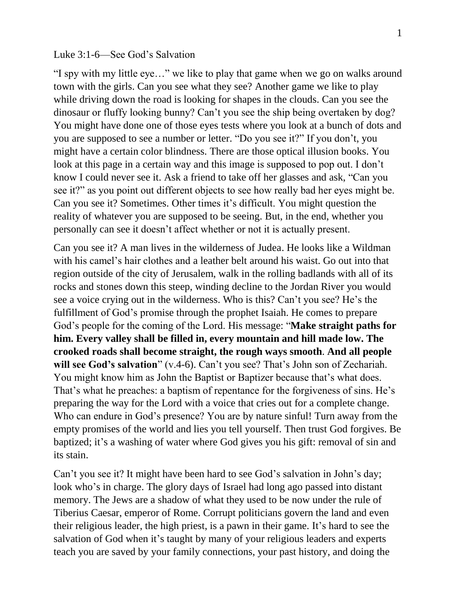## Luke 3:1-6—See God's Salvation

"I spy with my little eye…" we like to play that game when we go on walks around town with the girls. Can you see what they see? Another game we like to play while driving down the road is looking for shapes in the clouds. Can you see the dinosaur or fluffy looking bunny? Can't you see the ship being overtaken by dog? You might have done one of those eyes tests where you look at a bunch of dots and you are supposed to see a number or letter. "Do you see it?" If you don't, you might have a certain color blindness. There are those optical illusion books. You look at this page in a certain way and this image is supposed to pop out. I don't know I could never see it. Ask a friend to take off her glasses and ask, "Can you see it?" as you point out different objects to see how really bad her eyes might be. Can you see it? Sometimes. Other times it's difficult. You might question the reality of whatever you are supposed to be seeing. But, in the end, whether you personally can see it doesn't affect whether or not it is actually present.

Can you see it? A man lives in the wilderness of Judea. He looks like a Wildman with his camel's hair clothes and a leather belt around his waist. Go out into that region outside of the city of Jerusalem, walk in the rolling badlands with all of its rocks and stones down this steep, winding decline to the Jordan River you would see a voice crying out in the wilderness. Who is this? Can't you see? He's the fulfillment of God's promise through the prophet Isaiah. He comes to prepare God's people for the coming of the Lord. His message: "**Make straight paths for him. Every valley shall be filled in, every mountain and hill made low. The crooked roads shall become straight, the rough ways smooth**. **And all people will see God's salvation**" (v.4-6). Can't you see? That's John son of Zechariah. You might know him as John the Baptist or Baptizer because that's what does. That's what he preaches: a baptism of repentance for the forgiveness of sins. He's preparing the way for the Lord with a voice that cries out for a complete change. Who can endure in God's presence? You are by nature sinful! Turn away from the empty promises of the world and lies you tell yourself. Then trust God forgives. Be baptized; it's a washing of water where God gives you his gift: removal of sin and its stain.

Can't you see it? It might have been hard to see God's salvation in John's day; look who's in charge. The glory days of Israel had long ago passed into distant memory. The Jews are a shadow of what they used to be now under the rule of Tiberius Caesar, emperor of Rome. Corrupt politicians govern the land and even their religious leader, the high priest, is a pawn in their game. It's hard to see the salvation of God when it's taught by many of your religious leaders and experts teach you are saved by your family connections, your past history, and doing the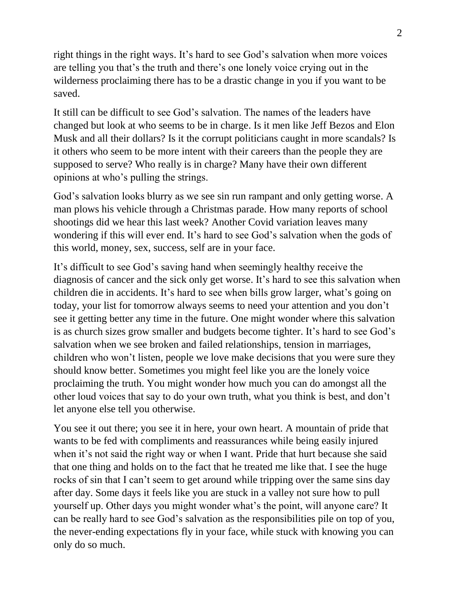right things in the right ways. It's hard to see God's salvation when more voices are telling you that's the truth and there's one lonely voice crying out in the wilderness proclaiming there has to be a drastic change in you if you want to be saved.

It still can be difficult to see God's salvation. The names of the leaders have changed but look at who seems to be in charge. Is it men like Jeff Bezos and Elon Musk and all their dollars? Is it the corrupt politicians caught in more scandals? Is it others who seem to be more intent with their careers than the people they are supposed to serve? Who really is in charge? Many have their own different opinions at who's pulling the strings.

God's salvation looks blurry as we see sin run rampant and only getting worse. A man plows his vehicle through a Christmas parade. How many reports of school shootings did we hear this last week? Another Covid variation leaves many wondering if this will ever end. It's hard to see God's salvation when the gods of this world, money, sex, success, self are in your face.

It's difficult to see God's saving hand when seemingly healthy receive the diagnosis of cancer and the sick only get worse. It's hard to see this salvation when children die in accidents. It's hard to see when bills grow larger, what's going on today, your list for tomorrow always seems to need your attention and you don't see it getting better any time in the future. One might wonder where this salvation is as church sizes grow smaller and budgets become tighter. It's hard to see God's salvation when we see broken and failed relationships, tension in marriages, children who won't listen, people we love make decisions that you were sure they should know better. Sometimes you might feel like you are the lonely voice proclaiming the truth. You might wonder how much you can do amongst all the other loud voices that say to do your own truth, what you think is best, and don't let anyone else tell you otherwise.

You see it out there; you see it in here, your own heart. A mountain of pride that wants to be fed with compliments and reassurances while being easily injured when it's not said the right way or when I want. Pride that hurt because she said that one thing and holds on to the fact that he treated me like that. I see the huge rocks of sin that I can't seem to get around while tripping over the same sins day after day. Some days it feels like you are stuck in a valley not sure how to pull yourself up. Other days you might wonder what's the point, will anyone care? It can be really hard to see God's salvation as the responsibilities pile on top of you, the never-ending expectations fly in your face, while stuck with knowing you can only do so much.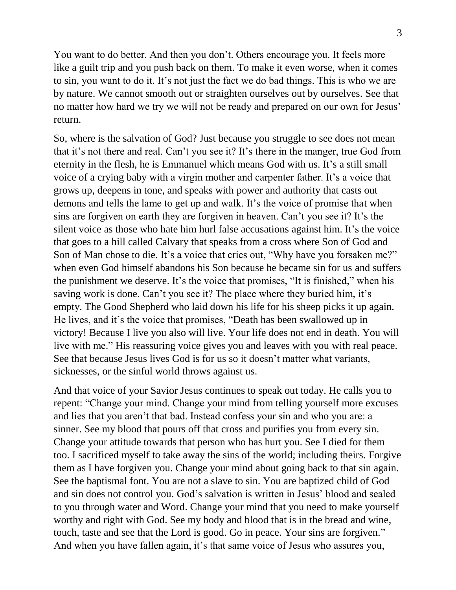You want to do better. And then you don't. Others encourage you. It feels more like a guilt trip and you push back on them. To make it even worse, when it comes to sin, you want to do it. It's not just the fact we do bad things. This is who we are by nature. We cannot smooth out or straighten ourselves out by ourselves. See that no matter how hard we try we will not be ready and prepared on our own for Jesus' return.

So, where is the salvation of God? Just because you struggle to see does not mean that it's not there and real. Can't you see it? It's there in the manger, true God from eternity in the flesh, he is Emmanuel which means God with us. It's a still small voice of a crying baby with a virgin mother and carpenter father. It's a voice that grows up, deepens in tone, and speaks with power and authority that casts out demons and tells the lame to get up and walk. It's the voice of promise that when sins are forgiven on earth they are forgiven in heaven. Can't you see it? It's the silent voice as those who hate him hurl false accusations against him. It's the voice that goes to a hill called Calvary that speaks from a cross where Son of God and Son of Man chose to die. It's a voice that cries out, "Why have you forsaken me?" when even God himself abandons his Son because he became sin for us and suffers the punishment we deserve. It's the voice that promises, "It is finished," when his saving work is done. Can't you see it? The place where they buried him, it's empty. The Good Shepherd who laid down his life for his sheep picks it up again. He lives, and it's the voice that promises, "Death has been swallowed up in victory! Because I live you also will live. Your life does not end in death. You will live with me." His reassuring voice gives you and leaves with you with real peace. See that because Jesus lives God is for us so it doesn't matter what variants, sicknesses, or the sinful world throws against us.

And that voice of your Savior Jesus continues to speak out today. He calls you to repent: "Change your mind. Change your mind from telling yourself more excuses and lies that you aren't that bad. Instead confess your sin and who you are: a sinner. See my blood that pours off that cross and purifies you from every sin. Change your attitude towards that person who has hurt you. See I died for them too. I sacrificed myself to take away the sins of the world; including theirs. Forgive them as I have forgiven you. Change your mind about going back to that sin again. See the baptismal font. You are not a slave to sin. You are baptized child of God and sin does not control you. God's salvation is written in Jesus' blood and sealed to you through water and Word. Change your mind that you need to make yourself worthy and right with God. See my body and blood that is in the bread and wine, touch, taste and see that the Lord is good. Go in peace. Your sins are forgiven." And when you have fallen again, it's that same voice of Jesus who assures you,